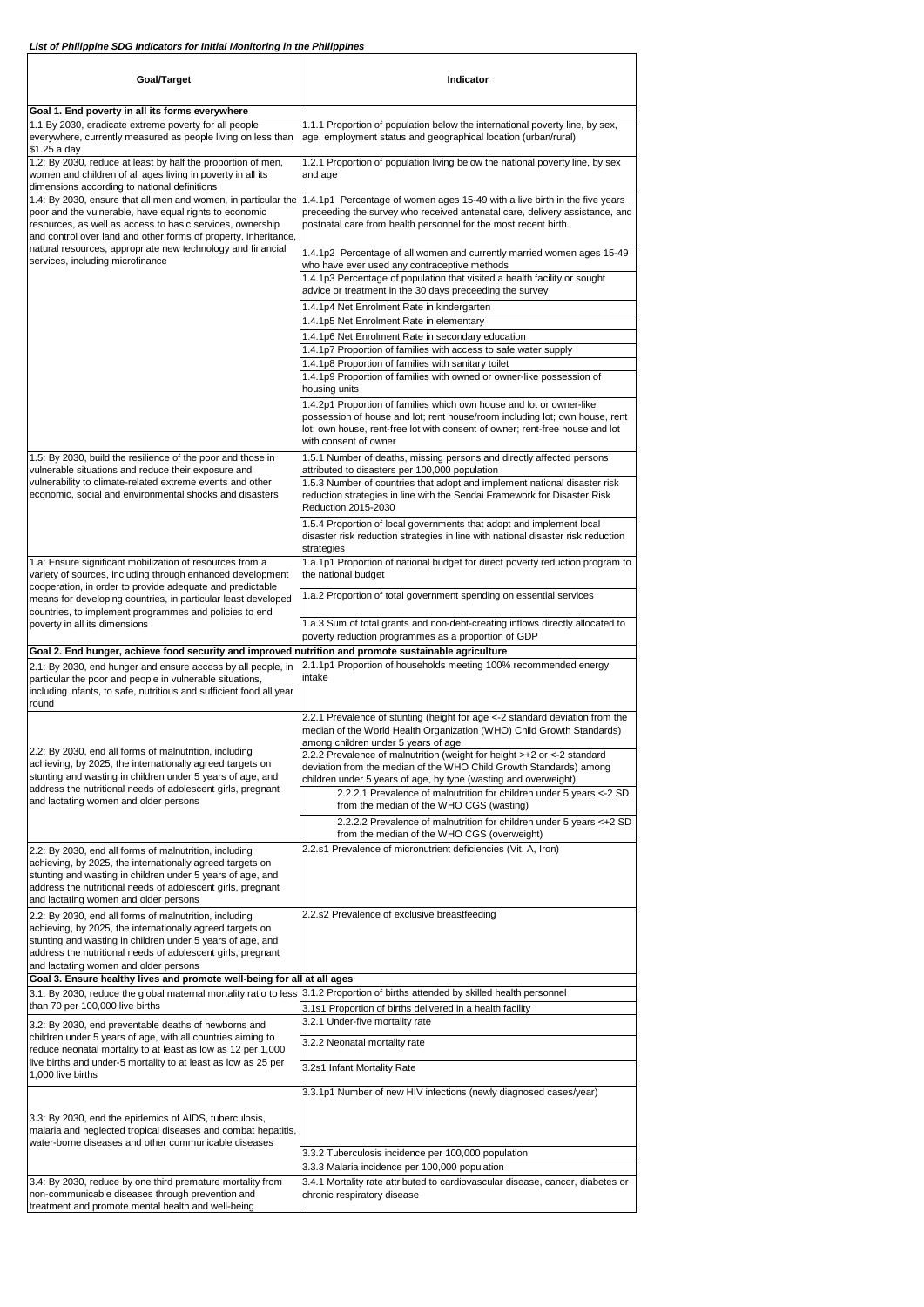| Goal/Target                                                                                                                                                                                                                                                                                                                                                 | Indicator                                                                                                                                                                                                                                                    |
|-------------------------------------------------------------------------------------------------------------------------------------------------------------------------------------------------------------------------------------------------------------------------------------------------------------------------------------------------------------|--------------------------------------------------------------------------------------------------------------------------------------------------------------------------------------------------------------------------------------------------------------|
| Goal 1. End poverty in all its forms everywhere                                                                                                                                                                                                                                                                                                             |                                                                                                                                                                                                                                                              |
| 1.1 By 2030, eradicate extreme poverty for all people<br>everywhere, currently measured as people living on less than<br>\$1.25 a day                                                                                                                                                                                                                       | 1.1.1 Proportion of population below the international poverty line, by sex,<br>age, employment status and geographical location (urban/rural)                                                                                                               |
| 1.2: By 2030, reduce at least by half the proportion of men,<br>women and children of all ages living in poverty in all its<br>dimensions according to national definitions                                                                                                                                                                                 | 1.2.1 Proportion of population living below the national poverty line, by sex<br>and age                                                                                                                                                                     |
| 1.4: By 2030, ensure that all men and women, in particular the<br>poor and the vulnerable, have equal rights to economic<br>resources, as well as access to basic services, ownership<br>and control over land and other forms of property, inheritance,<br>natural resources, appropriate new technology and financial<br>services, including microfinance | 1.4.1p1 Percentage of women ages 15-49 with a live birth in the five years<br>preceeding the survey who received antenatal care, delivery assistance, and<br>postnatal care from health personnel for the most recent birth.                                 |
|                                                                                                                                                                                                                                                                                                                                                             | 1.4.1p2 Percentage of all women and currently married women ages 15-49<br>who have ever used any contraceptive methods<br>1.4.1p3 Percentage of population that visited a health facility or sought                                                          |
|                                                                                                                                                                                                                                                                                                                                                             | advice or treatment in the 30 days preceeding the survey<br>1.4.1p4 Net Enrolment Rate in kindergarten                                                                                                                                                       |
|                                                                                                                                                                                                                                                                                                                                                             | 1.4.1p5 Net Enrolment Rate in elementary                                                                                                                                                                                                                     |
|                                                                                                                                                                                                                                                                                                                                                             | 1.4.1p6 Net Enrolment Rate in secondary education<br>1.4.1p7 Proportion of families with access to safe water supply<br>1.4.1p8 Proportion of families with sanitary toilet                                                                                  |
|                                                                                                                                                                                                                                                                                                                                                             | 1.4.1p9 Proportion of families with owned or owner-like possession of<br>housing units                                                                                                                                                                       |
|                                                                                                                                                                                                                                                                                                                                                             | 1.4.2p1 Proportion of families which own house and lot or owner-like<br>possession of house and lot; rent house/room including lot; own house, rent<br>lot; own house, rent-free lot with consent of owner; rent-free house and lot<br>with consent of owner |
| 1.5: By 2030, build the resilience of the poor and those in<br>vulnerable situations and reduce their exposure and                                                                                                                                                                                                                                          | 1.5.1 Number of deaths, missing persons and directly affected persons<br>attributed to disasters per 100,000 population                                                                                                                                      |
| vulnerability to climate-related extreme events and other<br>economic, social and environmental shocks and disasters                                                                                                                                                                                                                                        | 1.5.3 Number of countries that adopt and implement national disaster risk<br>reduction strategies in line with the Sendai Framework for Disaster Risk<br>Reduction 2015-2030                                                                                 |
|                                                                                                                                                                                                                                                                                                                                                             | 1.5.4 Proportion of local governments that adopt and implement local<br>disaster risk reduction strategies in line with national disaster risk reduction<br>strategies                                                                                       |
| 1.a: Ensure significant mobilization of resources from a<br>variety of sources, including through enhanced development<br>cooperation, in order to provide adequate and predictable                                                                                                                                                                         | 1.a.1p1 Proportion of national budget for direct poverty reduction program to<br>the national budget                                                                                                                                                         |
| means for developing countries, in particular least developed<br>countries, to implement programmes and policies to end                                                                                                                                                                                                                                     | 1.a.2 Proportion of total government spending on essential services                                                                                                                                                                                          |
| poverty in all its dimensions                                                                                                                                                                                                                                                                                                                               | 1.a.3 Sum of total grants and non-debt-creating inflows directly allocated to<br>poverty reduction programmes as a proportion of GDP                                                                                                                         |
| Goal 2. End hunger, achieve food security and improved nutrition and promote sustainable agriculture<br>2.1: By 2030, end hunger and ensure access by all people, in<br>particular the poor and people in vulnerable situations,<br>including infants, to safe, nutritious and sufficient food all year<br>round                                            | 2.1.1p1 Proportion of households meeting 100% recommended energy<br>intake                                                                                                                                                                                   |
| 2.2: By 2030, end all forms of malnutrition, including<br>achieving, by 2025, the internationally agreed targets on<br>stunting and wasting in children under 5 years of age, and                                                                                                                                                                           | 2.2.1 Prevalence of stunting (height for age <- 2 standard deviation from the<br>median of the World Health Organization (WHO) Child Growth Standards)<br>among children under 5 years of age                                                                |
|                                                                                                                                                                                                                                                                                                                                                             | 2.2.2 Prevalence of malnutrition (weight for height >+2 or <-2 standard<br>deviation from the median of the WHO Child Growth Standards) among<br>children under 5 years of age, by type (wasting and overweight)                                             |
| address the nutritional needs of adolescent girls, pregnant<br>and lactating women and older persons                                                                                                                                                                                                                                                        | 2.2.2.1 Prevalence of malnutrition for children under 5 years <- 2 SD<br>from the median of the WHO CGS (wasting)                                                                                                                                            |
|                                                                                                                                                                                                                                                                                                                                                             | 2.2.2.2 Prevalence of malnutrition for children under 5 years <+2 SD<br>from the median of the WHO CGS (overweight)                                                                                                                                          |
| 2.2: By 2030, end all forms of malnutrition, including<br>achieving, by 2025, the internationally agreed targets on<br>stunting and wasting in children under 5 years of age, and<br>address the nutritional needs of adolescent girls, pregnant<br>and lactating women and older persons                                                                   | 2.2.s1 Prevalence of micronutrient deficiencies (Vit. A, Iron)                                                                                                                                                                                               |
| 2.2: By 2030, end all forms of malnutrition, including<br>achieving, by 2025, the internationally agreed targets on<br>stunting and wasting in children under 5 years of age, and<br>address the nutritional needs of adolescent girls, pregnant<br>and lactating women and older persons                                                                   | 2.2.s2 Prevalence of exclusive breastfeeding                                                                                                                                                                                                                 |
| Goal 3. Ensure healthy lives and promote well-being for all at all ages<br>3.1: By 2030, reduce the global maternal mortality ratio to less                                                                                                                                                                                                                 | 3.1.2 Proportion of births attended by skilled health personnel                                                                                                                                                                                              |
| than 70 per 100,000 live births                                                                                                                                                                                                                                                                                                                             | 3.1s1 Proportion of births delivered in a health facility                                                                                                                                                                                                    |
| 3.2: By 2030, end preventable deaths of newborns and<br>children under 5 years of age, with all countries aiming to                                                                                                                                                                                                                                         | 3.2.1 Under-five mortality rate<br>3.2.2 Neonatal mortality rate                                                                                                                                                                                             |
| reduce neonatal mortality to at least as low as 12 per 1,000<br>live births and under-5 mortality to at least as low as 25 per                                                                                                                                                                                                                              | 3.2s1 Infant Mortality Rate                                                                                                                                                                                                                                  |
| 1,000 live births                                                                                                                                                                                                                                                                                                                                           | 3.3.1p1 Number of new HIV infections (newly diagnosed cases/year)                                                                                                                                                                                            |
| 3.3: By 2030, end the epidemics of AIDS, tuberculosis,<br>malaria and neglected tropical diseases and combat hepatitis,<br>water-borne diseases and other communicable diseases                                                                                                                                                                             |                                                                                                                                                                                                                                                              |
|                                                                                                                                                                                                                                                                                                                                                             | 3.3.2 Tuberculosis incidence per 100,000 population                                                                                                                                                                                                          |
|                                                                                                                                                                                                                                                                                                                                                             | 3.3.3 Malaria incidence per 100,000 population                                                                                                                                                                                                               |
| 3.4: By 2030, reduce by one third premature mortality from<br>non-communicable diseases through prevention and<br>treatment and promote mental health and well-being                                                                                                                                                                                        | 3.4.1 Mortality rate attributed to cardiovascular disease, cancer, diabetes or<br>chronic respiratory disease                                                                                                                                                |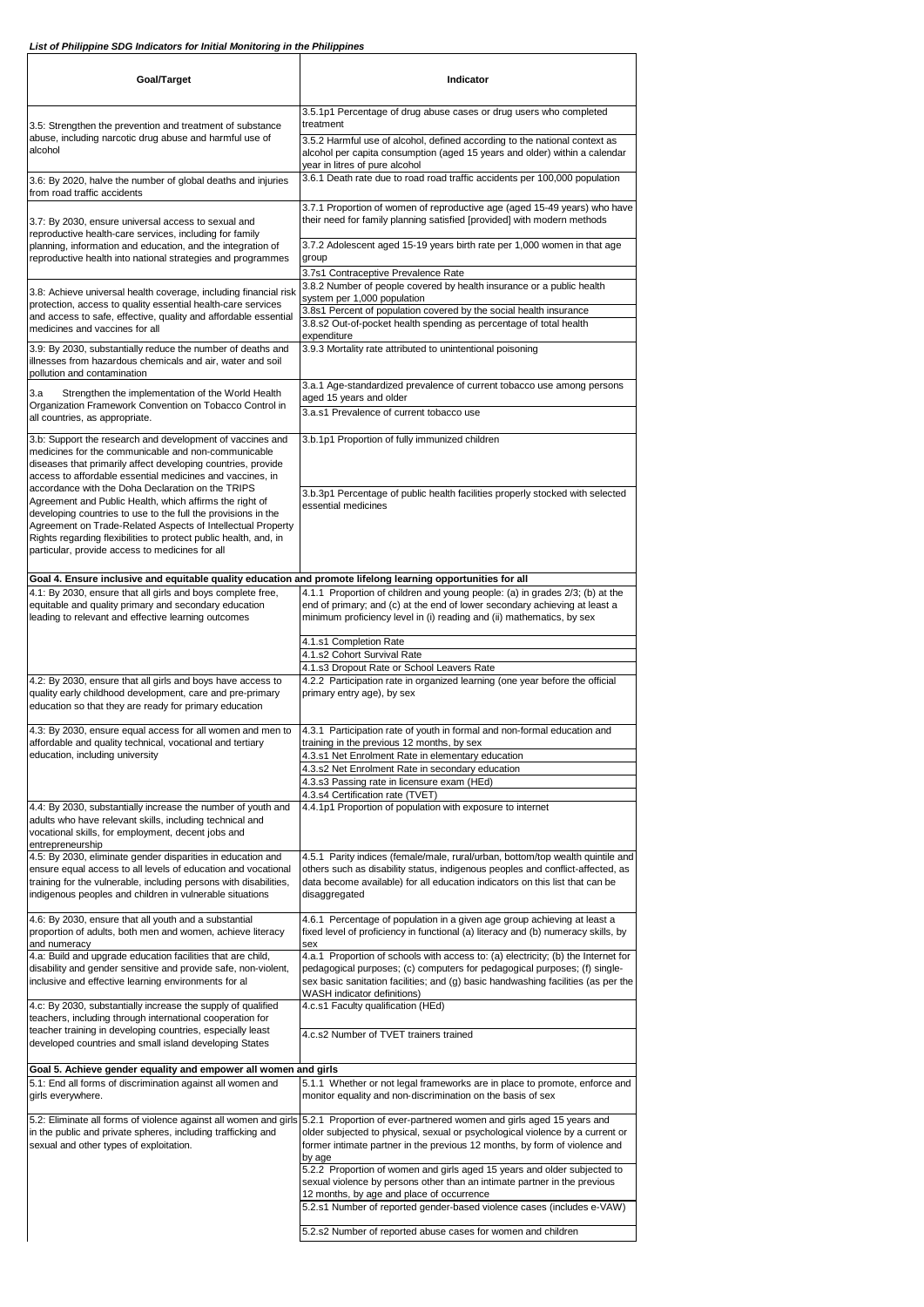| Goal/Target                                                                                                                                                                                                                                                                                                                                                         | Indicator                                                                                                                                                                                                                                                                                            |
|---------------------------------------------------------------------------------------------------------------------------------------------------------------------------------------------------------------------------------------------------------------------------------------------------------------------------------------------------------------------|------------------------------------------------------------------------------------------------------------------------------------------------------------------------------------------------------------------------------------------------------------------------------------------------------|
| 3.5: Strengthen the prevention and treatment of substance<br>abuse, including narcotic drug abuse and harmful use of<br>alcohol                                                                                                                                                                                                                                     | 3.5.1p1 Percentage of drug abuse cases or drug users who completed<br>treatment                                                                                                                                                                                                                      |
|                                                                                                                                                                                                                                                                                                                                                                     | 3.5.2 Harmful use of alcohol, defined according to the national context as<br>alcohol per capita consumption (aged 15 years and older) within a calendar                                                                                                                                             |
| 3.6: By 2020, halve the number of global deaths and injuries<br>from road traffic accidents                                                                                                                                                                                                                                                                         | year in litres of pure alcohol<br>3.6.1 Death rate due to road road traffic accidents per 100,000 population                                                                                                                                                                                         |
| 3.7: By 2030, ensure universal access to sexual and<br>reproductive health-care services, including for family<br>planning, information and education, and the integration of<br>reproductive health into national strategies and programmes                                                                                                                        | 3.7.1 Proportion of women of reproductive age (aged 15-49 years) who have<br>their need for family planning satisfied [provided] with modern methods                                                                                                                                                 |
|                                                                                                                                                                                                                                                                                                                                                                     | 3.7.2 Adolescent aged 15-19 years birth rate per 1,000 women in that age<br>group                                                                                                                                                                                                                    |
| 3.8: Achieve universal health coverage, including financial risk                                                                                                                                                                                                                                                                                                    | 3.7s1 Contraceptive Prevalence Rate<br>3.8.2 Number of people covered by health insurance or a public health                                                                                                                                                                                         |
| protection, access to quality essential health-care services<br>and access to safe, effective, quality and affordable essential<br>medicines and vaccines for all                                                                                                                                                                                                   | system per 1,000 population<br>3.8s1 Percent of population covered by the social health insurance<br>3.8.s2 Out-of-pocket health spending as percentage of total health                                                                                                                              |
| 3.9: By 2030, substantially reduce the number of deaths and<br>illnesses from hazardous chemicals and air, water and soil<br>pollution and contamination                                                                                                                                                                                                            | expenditure<br>3.9.3 Mortality rate attributed to unintentional poisoning                                                                                                                                                                                                                            |
| Strengthen the implementation of the World Health<br>3.a<br>Organization Framework Convention on Tobacco Control in                                                                                                                                                                                                                                                 | 3.a.1 Age-standardized prevalence of current tobacco use among persons<br>aged 15 years and older                                                                                                                                                                                                    |
| all countries, as appropriate.                                                                                                                                                                                                                                                                                                                                      | 3.a.s1 Prevalence of current tobacco use                                                                                                                                                                                                                                                             |
| 3.b: Support the research and development of vaccines and<br>medicines for the communicable and non-communicable<br>diseases that primarily affect developing countries, provide<br>access to affordable essential medicines and vaccines, in                                                                                                                       | 3.b.1p1 Proportion of fully immunized children                                                                                                                                                                                                                                                       |
| accordance with the Doha Declaration on the TRIPS<br>Agreement and Public Health, which affirms the right of<br>developing countries to use to the full the provisions in the<br>Agreement on Trade-Related Aspects of Intellectual Property<br>Rights regarding flexibilities to protect public health, and, in<br>particular, provide access to medicines for all | 3.b.3p1 Percentage of public health facilities properly stocked with selected<br>essential medicines                                                                                                                                                                                                 |
| Goal 4. Ensure inclusive and equitable quality education and promote lifelong learning opportunities for all                                                                                                                                                                                                                                                        |                                                                                                                                                                                                                                                                                                      |
| 4.1: By 2030, ensure that all girls and boys complete free,<br>equitable and quality primary and secondary education<br>leading to relevant and effective learning outcomes                                                                                                                                                                                         | 4.1.1 Proportion of children and young people: (a) in grades 2/3; (b) at the<br>end of primary; and (c) at the end of lower secondary achieving at least a<br>minimum proficiency level in (i) reading and (ii) mathematics, by sex                                                                  |
|                                                                                                                                                                                                                                                                                                                                                                     | 4.1.s1 Completion Rate<br>4.1.s2 Cohort Survival Rate                                                                                                                                                                                                                                                |
| 4.2: By 2030, ensure that all girls and boys have access to                                                                                                                                                                                                                                                                                                         | 4.1.s3 Dropout Rate or School Leavers Rate<br>4.2.2 Participation rate in organized learning (one year before the official                                                                                                                                                                           |
| quality early childhood development, care and pre-primary<br>education so that they are ready for primary education                                                                                                                                                                                                                                                 | primary entry age), by sex                                                                                                                                                                                                                                                                           |
| 4.3: By 2030, ensure equal access for all women and men to<br>affordable and quality technical, vocational and tertiary                                                                                                                                                                                                                                             | 4.3.1 Participation rate of youth in formal and non-formal education and<br>training in the previous 12 months, by sex                                                                                                                                                                               |
| education, including university                                                                                                                                                                                                                                                                                                                                     | 4.3.s1 Net Enrolment Rate in elementary education<br>4.3.s2 Net Enrolment Rate in secondary education                                                                                                                                                                                                |
|                                                                                                                                                                                                                                                                                                                                                                     | 4.3.s3 Passing rate in licensure exam (HEd)<br>4.3.s4 Certification rate (TVET)                                                                                                                                                                                                                      |
| 4.4: By 2030, substantially increase the number of youth and<br>adults who have relevant skills, including technical and<br>vocational skills, for employment, decent jobs and<br>entrepreneurship                                                                                                                                                                  | 4.4.1p1 Proportion of population with exposure to internet                                                                                                                                                                                                                                           |
| 4.5: By 2030, eliminate gender disparities in education and<br>ensure equal access to all levels of education and vocational<br>training for the vulnerable, including persons with disabilities,<br>indigenous peoples and children in vulnerable situations                                                                                                       | 4.5.1 Parity indices (female/male, rural/urban, bottom/top wealth quintile and<br>others such as disability status, indigenous peoples and conflict-affected, as<br>data become available) for all education indicators on this list that can be<br>disaggregated                                    |
| 4.6: By 2030, ensure that all youth and a substantial<br>proportion of adults, both men and women, achieve literacy<br>and numeracy                                                                                                                                                                                                                                 | 4.6.1 Percentage of population in a given age group achieving at least a<br>fixed level of proficiency in functional (a) literacy and (b) numeracy skills, by<br>sex                                                                                                                                 |
| 4.a: Build and upgrade education facilities that are child,<br>disability and gender sensitive and provide safe, non-violent,<br>inclusive and effective learning environments for al                                                                                                                                                                               | 4.a.1 Proportion of schools with access to: (a) electricity; (b) the Internet for<br>pedagogical purposes; (c) computers for pedagogical purposes; (f) single-<br>sex basic sanitation facilities; and (g) basic handwashing facilities (as per the<br>WASH indicator definitions)                   |
| 4.c: By 2030, substantially increase the supply of qualified<br>teachers, including through international cooperation for                                                                                                                                                                                                                                           | 4.c.s1 Faculty qualification (HEd)                                                                                                                                                                                                                                                                   |
| teacher training in developing countries, especially least<br>developed countries and small island developing States                                                                                                                                                                                                                                                | 4.c.s2 Number of TVET trainers trained                                                                                                                                                                                                                                                               |
| Goal 5. Achieve gender equality and empower all women and girls<br>5.1: End all forms of discrimination against all women and<br>girls everywhere.                                                                                                                                                                                                                  | 5.1.1 Whether or not legal frameworks are in place to promote, enforce and<br>monitor equality and non-discrimination on the basis of sex                                                                                                                                                            |
| in the public and private spheres, including trafficking and<br>sexual and other types of exploitation.                                                                                                                                                                                                                                                             | 5.2: Eliminate all forms of violence against all women and girls 5.2.1 Proportion of ever-partnered women and girls aged 15 years and<br>older subjected to physical, sexual or psychological violence by a current or<br>former intimate partner in the previous 12 months, by form of violence and |
|                                                                                                                                                                                                                                                                                                                                                                     | by age<br>5.2.2 Proportion of women and girls aged 15 years and older subjected to<br>sexual violence by persons other than an intimate partner in the previous<br>12 months, by age and place of occurrence                                                                                         |
|                                                                                                                                                                                                                                                                                                                                                                     | 5.2.s1 Number of reported gender-based violence cases (includes e-VAW)<br>5.2.s2 Number of reported abuse cases for women and children                                                                                                                                                               |
|                                                                                                                                                                                                                                                                                                                                                                     |                                                                                                                                                                                                                                                                                                      |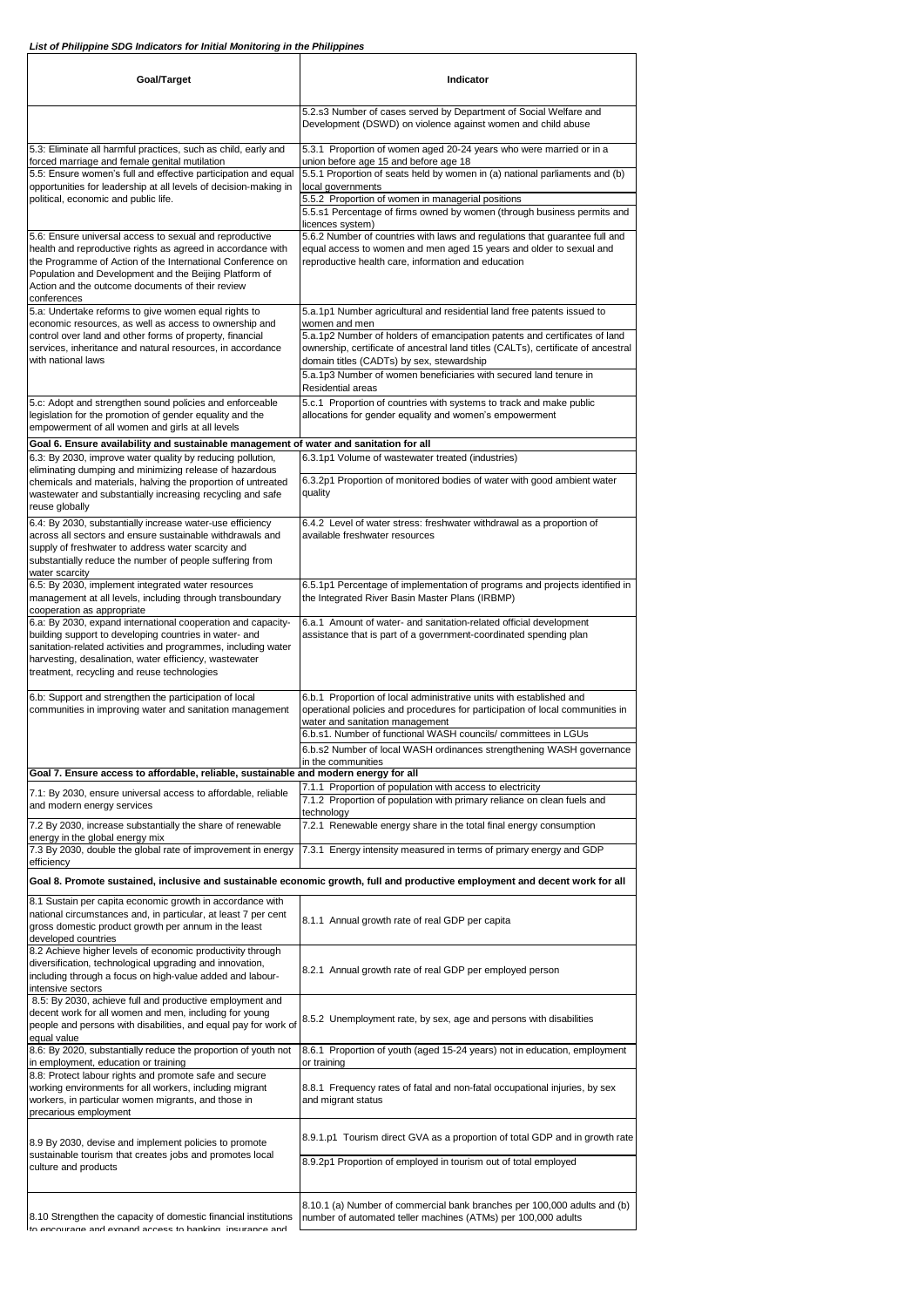| Goal/Target                                                                                                                                                                                                                                                                                        | Indicator                                                                                                                                                                                                                                                                                                                                                                                          |
|----------------------------------------------------------------------------------------------------------------------------------------------------------------------------------------------------------------------------------------------------------------------------------------------------|----------------------------------------------------------------------------------------------------------------------------------------------------------------------------------------------------------------------------------------------------------------------------------------------------------------------------------------------------------------------------------------------------|
|                                                                                                                                                                                                                                                                                                    | 5.2.s3 Number of cases served by Department of Social Welfare and<br>Development (DSWD) on violence against women and child abuse                                                                                                                                                                                                                                                                  |
| 5.3: Eliminate all harmful practices, such as child, early and<br>forced marriage and female genital mutilation<br>5.5: Ensure women's full and effective participation and equal<br>opportunities for leadership at all levels of decision-making in<br>political, economic and public life.      | 5.3.1 Proportion of women aged 20-24 years who were married or in a<br>union before age 15 and before age 18<br>5.5.1 Proportion of seats held by women in (a) national parliaments and (b)<br>local governments<br>5.5.2 Proportion of women in managerial positions<br>5.5.s1 Percentage of firms owned by women (through business permits and                                                   |
| 5.6: Ensure universal access to sexual and reproductive<br>health and reproductive rights as agreed in accordance with<br>the Programme of Action of the International Conference on<br>Population and Development and the Beijing Platform of<br>Action and the outcome documents of their review | licences system)<br>5.6.2 Number of countries with laws and regulations that guarantee full and<br>equal access to women and men aged 15 years and older to sexual and<br>reproductive health care, information and education                                                                                                                                                                      |
| conferences<br>5.a: Undertake reforms to give women equal rights to<br>economic resources, as well as access to ownership and<br>control over land and other forms of property, financial<br>services, inheritance and natural resources, in accordance<br>with national laws                      | 5.a.1p1 Number agricultural and residential land free patents issued to<br>women and men<br>5.a.1p2 Number of holders of emancipation patents and certificates of land<br>ownership, certificate of ancestral land titles (CALTs), certificate of ancestral<br>domain titles (CADTs) by sex, stewardship<br>5.a.1p3 Number of women beneficiaries with secured land tenure in<br>Residential areas |
| 5.c: Adopt and strengthen sound policies and enforceable<br>legislation for the promotion of gender equality and the<br>empowerment of all women and girls at all levels                                                                                                                           | 5.c.1 Proportion of countries with systems to track and make public<br>allocations for gender equality and women's empowerment                                                                                                                                                                                                                                                                     |
| Goal 6. Ensure availability and sustainable management of water and sanitation for all<br>6.3: By 2030, improve water quality by reducing pollution,                                                                                                                                               | 6.3.1p1 Volume of wastewater treated (industries)                                                                                                                                                                                                                                                                                                                                                  |
| eliminating dumping and minimizing release of hazardous<br>chemicals and materials, halving the proportion of untreated<br>wastewater and substantially increasing recycling and safe<br>reuse globally                                                                                            | 6.3.2p1 Proportion of monitored bodies of water with good ambient water<br>quality                                                                                                                                                                                                                                                                                                                 |
| 6.4: By 2030, substantially increase water-use efficiency<br>across all sectors and ensure sustainable withdrawals and<br>supply of freshwater to address water scarcity and<br>substantially reduce the number of people suffering from<br>water scarcity                                         | 6.4.2 Level of water stress: freshwater withdrawal as a proportion of<br>available freshwater resources                                                                                                                                                                                                                                                                                            |
| 6.5: By 2030, implement integrated water resources<br>management at all levels, including through transboundary<br>cooperation as appropriate                                                                                                                                                      | 6.5.1p1 Percentage of implementation of programs and projects identified in<br>the Integrated River Basin Master Plans (IRBMP)                                                                                                                                                                                                                                                                     |
| 6.a: By 2030, expand international cooperation and capacity-<br>building support to developing countries in water- and<br>sanitation-related activities and programmes, including water<br>harvesting, desalination, water efficiency, wastewater<br>treatment, recycling and reuse technologies   | 6.a.1 Amount of water- and sanitation-related official development<br>assistance that is part of a government-coordinated spending plan                                                                                                                                                                                                                                                            |
| 6.b: Support and strengthen the participation of local<br>communities in improving water and sanitation management                                                                                                                                                                                 | 6.b.1 Proportion of local administrative units with established and<br>operational policies and procedures for participation of local communities in<br>water and sanitation management<br>6.b.s1. Number of functional WASH councils/ committees in LGUs                                                                                                                                          |
| Goal 7. Ensure access to affordable, reliable, sustainable and modern energy for all                                                                                                                                                                                                               | 6.b.s2 Number of local WASH ordinances strengthening WASH governance<br>in the communities                                                                                                                                                                                                                                                                                                         |
| 7.1: By 2030, ensure universal access to affordable, reliable                                                                                                                                                                                                                                      | 7.1.1 Proportion of population with access to electricity                                                                                                                                                                                                                                                                                                                                          |
| and modern energy services<br>7.2 By 2030, increase substantially the share of renewable                                                                                                                                                                                                           | 7.1.2 Proportion of population with primary reliance on clean fuels and<br>technology<br>7.2.1 Renewable energy share in the total final energy consumption                                                                                                                                                                                                                                        |
| energy in the global energy mix<br>7.3 By 2030, double the global rate of improvement in energy                                                                                                                                                                                                    | 7.3.1 Energy intensity measured in terms of primary energy and GDP                                                                                                                                                                                                                                                                                                                                 |
| efficiency                                                                                                                                                                                                                                                                                         | Goal 8. Promote sustained, inclusive and sustainable economic growth, full and productive employment and decent work for all                                                                                                                                                                                                                                                                       |
| 8.1 Sustain per capita economic growth in accordance with<br>national circumstances and, in particular, at least 7 per cent<br>gross domestic product growth per annum in the least<br>developed countries                                                                                         | 8.1.1 Annual growth rate of real GDP per capita                                                                                                                                                                                                                                                                                                                                                    |
| 8.2 Achieve higher levels of economic productivity through<br>diversification, technological upgrading and innovation,<br>including through a focus on high-value added and labour-<br>intensive sectors                                                                                           | 8.2.1 Annual growth rate of real GDP per employed person                                                                                                                                                                                                                                                                                                                                           |
| 8.5: By 2030, achieve full and productive employment and<br>decent work for all women and men, including for young<br>people and persons with disabilities, and equal pay for work of<br>equal value                                                                                               | 8.5.2 Unemployment rate, by sex, age and persons with disabilities                                                                                                                                                                                                                                                                                                                                 |
| 8.6: By 2020, substantially reduce the proportion of youth not<br>in employment, education or training                                                                                                                                                                                             | 8.6.1 Proportion of youth (aged 15-24 years) not in education, employment<br>or training                                                                                                                                                                                                                                                                                                           |
| 8.8: Protect labour rights and promote safe and secure<br>working environments for all workers, including migrant<br>workers, in particular women migrants, and those in<br>precarious employment                                                                                                  | 8.8.1 Frequency rates of fatal and non-fatal occupational injuries, by sex<br>and migrant status                                                                                                                                                                                                                                                                                                   |
| 8.9 By 2030, devise and implement policies to promote<br>sustainable tourism that creates jobs and promotes local<br>culture and products                                                                                                                                                          | 8.9.1.p1 Tourism direct GVA as a proportion of total GDP and in growth rate                                                                                                                                                                                                                                                                                                                        |
|                                                                                                                                                                                                                                                                                                    | 8.9.2p1 Proportion of employed in tourism out of total employed                                                                                                                                                                                                                                                                                                                                    |
| 8.10 Strengthen the capacity of domestic financial institutions<br>to annourana and avnand annose to hanking incurance and                                                                                                                                                                         | 8.10.1 (a) Number of commercial bank branches per 100,000 adults and (b)<br>number of automated teller machines (ATMs) per 100,000 adults                                                                                                                                                                                                                                                          |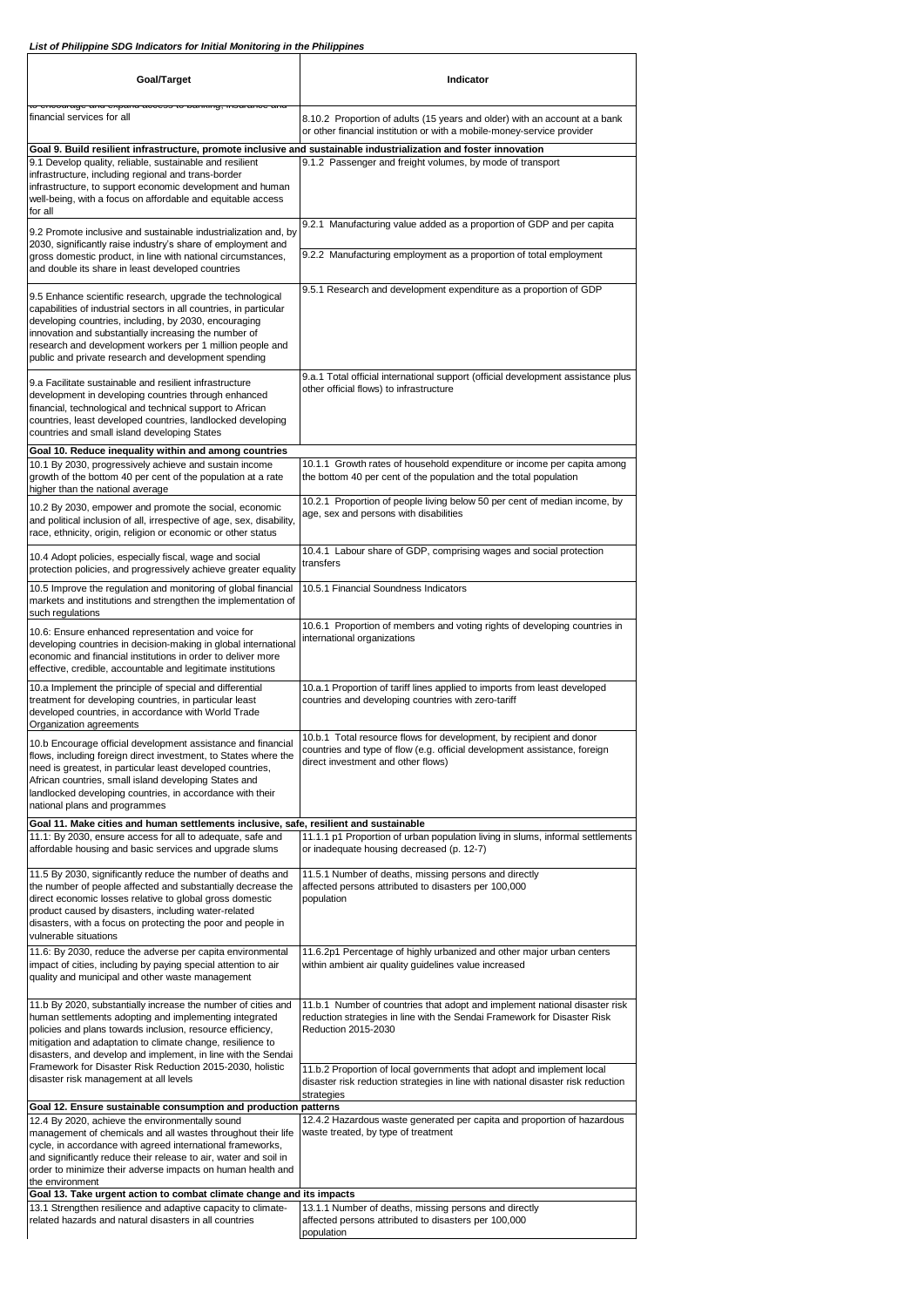| Goal/Target                                                                                                                                                                                                                                                                                                                                                                 | Indicator                                                                                                                                                                              |
|-----------------------------------------------------------------------------------------------------------------------------------------------------------------------------------------------------------------------------------------------------------------------------------------------------------------------------------------------------------------------------|----------------------------------------------------------------------------------------------------------------------------------------------------------------------------------------|
| το υπουαιασε απα υχραπα αυσοσσ<br>financial services for all                                                                                                                                                                                                                                                                                                                | 8.10.2 Proportion of adults (15 years and older) with an account at a bank<br>or other financial institution or with a mobile-money-service provider                                   |
| Goal 9. Build resilient infrastructure, promote inclusive and sustainable industrialization and foster innovation<br>9.1 Develop quality, reliable, sustainable and resilient<br>infrastructure, including regional and trans-border<br>infrastructure, to support economic development and human<br>well-being, with a focus on affordable and equitable access<br>for all | 9.1.2 Passenger and freight volumes, by mode of transport                                                                                                                              |
| 9.2 Promote inclusive and sustainable industrialization and, by<br>2030, significantly raise industry's share of employment and<br>gross domestic product, in line with national circumstances,                                                                                                                                                                             | 9.2.1 Manufacturing value added as a proportion of GDP and per capita<br>9.2.2 Manufacturing employment as a proportion of total employment                                            |
| and double its share in least developed countries                                                                                                                                                                                                                                                                                                                           |                                                                                                                                                                                        |
| 9.5 Enhance scientific research, upgrade the technological<br>capabilities of industrial sectors in all countries, in particular<br>developing countries, including, by 2030, encouraging<br>innovation and substantially increasing the number of<br>research and development workers per 1 million people and<br>public and private research and development spending     | 9.5.1 Research and development expenditure as a proportion of GDP                                                                                                                      |
| 9.a Facilitate sustainable and resilient infrastructure<br>development in developing countries through enhanced<br>financial, technological and technical support to African<br>countries, least developed countries, landlocked developing<br>countries and small island developing States                                                                                 | 9.a.1 Total official international support (official development assistance plus<br>other official flows) to infrastructure                                                            |
| Goal 10. Reduce inequality within and among countries<br>10.1 By 2030, progressively achieve and sustain income                                                                                                                                                                                                                                                             | 10.1.1 Growth rates of household expenditure or income per capita among                                                                                                                |
| growth of the bottom 40 per cent of the population at a rate<br>higher than the national average                                                                                                                                                                                                                                                                            | the bottom 40 per cent of the population and the total population                                                                                                                      |
| 10.2 By 2030, empower and promote the social, economic<br>and political inclusion of all, irrespective of age, sex, disability,<br>race, ethnicity, origin, religion or economic or other status                                                                                                                                                                            | 10.2.1 Proportion of people living below 50 per cent of median income, by<br>age, sex and persons with disabilities                                                                    |
| 10.4 Adopt policies, especially fiscal, wage and social<br>protection policies, and progressively achieve greater equality                                                                                                                                                                                                                                                  | 10.4.1 Labour share of GDP, comprising wages and social protection<br>transfers                                                                                                        |
| 10.5 Improve the regulation and monitoring of global financial<br>markets and institutions and strengthen the implementation of<br>such regulations                                                                                                                                                                                                                         | 10.5.1 Financial Soundness Indicators                                                                                                                                                  |
| 10.6: Ensure enhanced representation and voice for<br>developing countries in decision-making in global international<br>economic and financial institutions in order to deliver more<br>effective, credible, accountable and legitimate institutions                                                                                                                       | 10.6.1 Proportion of members and voting rights of developing countries in<br>international organizations                                                                               |
| 10.a Implement the principle of special and differential<br>treatment for developing countries, in particular least<br>developed countries, in accordance with World Trade<br>Organization agreements                                                                                                                                                                       | 10.a.1 Proportion of tariff lines applied to imports from least developed<br>countries and developing countries with zero-tariff                                                       |
| 10.b Encourage official development assistance and financial<br>flows, including foreign direct investment, to States where the<br>need is greatest, in particular least developed countries,<br>African countries, small island developing States and<br>landlocked developing countries, in accordance with their<br>national plans and programmes                        | 10.b.1 Total resource flows for development, by recipient and donor<br>countries and type of flow (e.g. official development assistance, foreign<br>direct investment and other flows) |
| Goal 11. Make cities and human settlements inclusive, safe, resilient and sustainable<br>11.1: By 2030, ensure access for all to adequate, safe and                                                                                                                                                                                                                         | 11.1.1 p1 Proportion of urban population living in slums, informal settlements                                                                                                         |
| affordable housing and basic services and upgrade slums                                                                                                                                                                                                                                                                                                                     | or inadequate housing decreased (p. 12-7)                                                                                                                                              |
| 11.5 By 2030, significantly reduce the number of deaths and<br>the number of people affected and substantially decrease the<br>direct economic losses relative to global gross domestic<br>product caused by disasters, including water-related<br>disasters, with a focus on protecting the poor and people in                                                             | 11.5.1 Number of deaths, missing persons and directly<br>affected persons attributed to disasters per 100,000<br>population                                                            |
| vulnerable situations<br>11.6: By 2030, reduce the adverse per capita environmental<br>impact of cities, including by paying special attention to air<br>quality and municipal and other waste management                                                                                                                                                                   | 11.6.2p1 Percentage of highly urbanized and other major urban centers<br>within ambient air quality guidelines value increased                                                         |
| 11.b By 2020, substantially increase the number of cities and<br>human settlements adopting and implementing integrated<br>policies and plans towards inclusion, resource efficiency,<br>mitigation and adaptation to climate change, resilience to<br>disasters, and develop and implement, in line with the Sendai                                                        | 11.b.1 Number of countries that adopt and implement national disaster risk<br>reduction strategies in line with the Sendai Framework for Disaster Risk<br>Reduction 2015-2030          |
| Framework for Disaster Risk Reduction 2015-2030, holistic<br>disaster risk management at all levels                                                                                                                                                                                                                                                                         | 11.b.2 Proportion of local governments that adopt and implement local<br>disaster risk reduction strategies in line with national disaster risk reduction<br>strategies                |
| Goal 12. Ensure sustainable consumption and production patterns<br>12.4 By 2020, achieve the environmentally sound                                                                                                                                                                                                                                                          | 12.4.2 Hazardous waste generated per capita and proportion of hazardous                                                                                                                |
| management of chemicals and all wastes throughout their life<br>cycle, in accordance with agreed international frameworks,<br>and significantly reduce their release to air, water and soil in<br>order to minimize their adverse impacts on human health and<br>the environment                                                                                            | waste treated, by type of treatment                                                                                                                                                    |
| Goal 13. Take urgent action to combat climate change and its impacts<br>13.1 Strengthen resilience and adaptive capacity to climate-                                                                                                                                                                                                                                        | 13.1.1 Number of deaths, missing persons and directly                                                                                                                                  |
| related hazards and natural disasters in all countries                                                                                                                                                                                                                                                                                                                      | affected persons attributed to disasters per 100,000<br>population                                                                                                                     |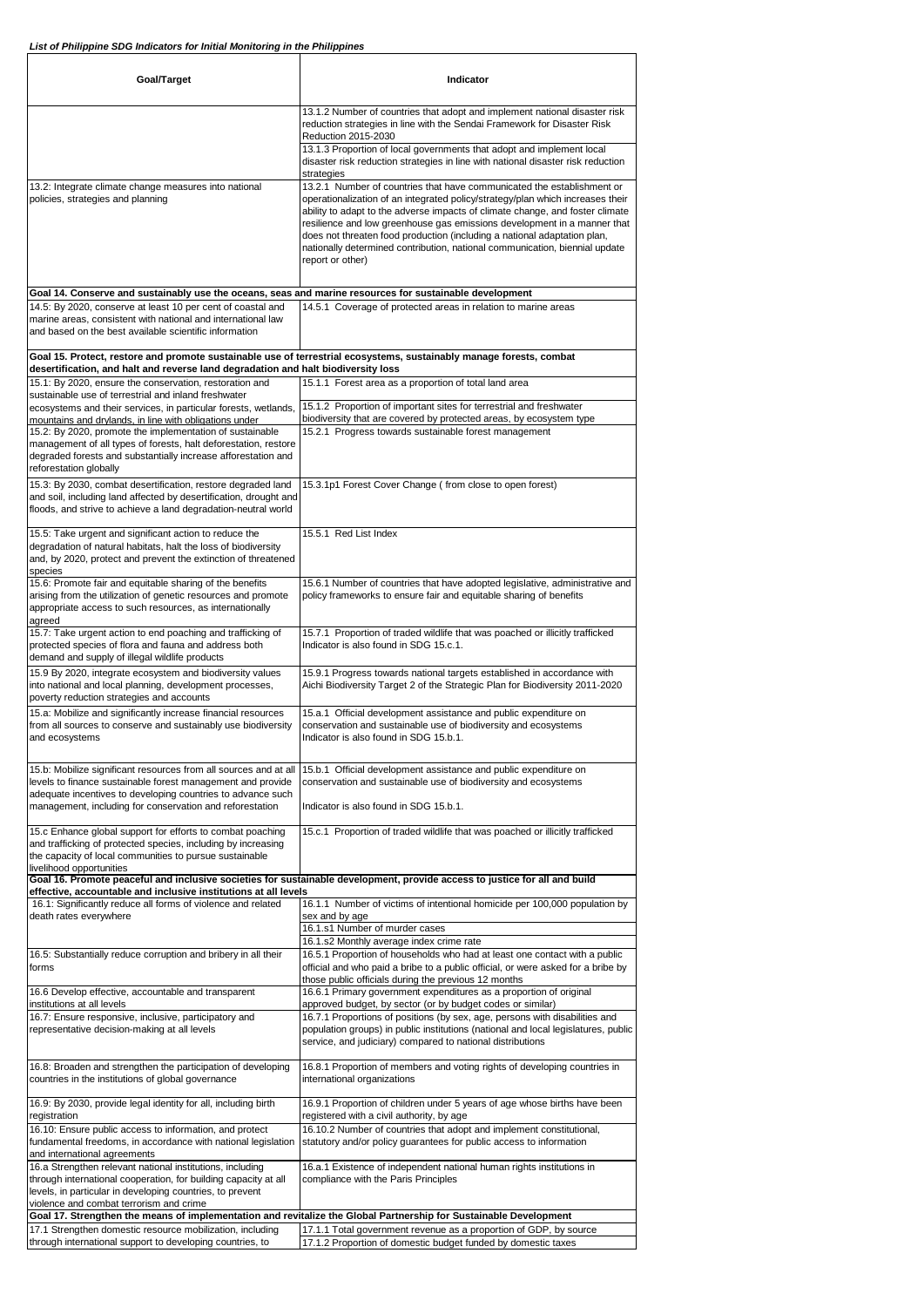| Goal/Target                                                                                                                                                                                                                                                | Indicator                                                                                                                                                                                                                                                                                                                                                                                                                                                                                            |
|------------------------------------------------------------------------------------------------------------------------------------------------------------------------------------------------------------------------------------------------------------|------------------------------------------------------------------------------------------------------------------------------------------------------------------------------------------------------------------------------------------------------------------------------------------------------------------------------------------------------------------------------------------------------------------------------------------------------------------------------------------------------|
|                                                                                                                                                                                                                                                            | 13.1.2 Number of countries that adopt and implement national disaster risk<br>reduction strategies in line with the Sendai Framework for Disaster Risk<br>Reduction 2015-2030                                                                                                                                                                                                                                                                                                                        |
|                                                                                                                                                                                                                                                            | 13.1.3 Proportion of local governments that adopt and implement local<br>disaster risk reduction strategies in line with national disaster risk reduction<br>strategies                                                                                                                                                                                                                                                                                                                              |
| 13.2: Integrate climate change measures into national<br>policies, strategies and planning                                                                                                                                                                 | 13.2.1 Number of countries that have communicated the establishment or<br>operationalization of an integrated policy/strategy/plan which increases their<br>ability to adapt to the adverse impacts of climate change, and foster climate<br>resilience and low greenhouse gas emissions development in a manner that<br>does not threaten food production (including a national adaptation plan,<br>nationally determined contribution, national communication, biennial update<br>report or other) |
| Goal 14. Conserve and sustainably use the oceans, seas and marine resources for sustainable development                                                                                                                                                    |                                                                                                                                                                                                                                                                                                                                                                                                                                                                                                      |
| 14.5: By 2020, conserve at least 10 per cent of coastal and<br>marine areas, consistent with national and international law<br>and based on the best available scientific information                                                                      | 14.5.1 Coverage of protected areas in relation to marine areas                                                                                                                                                                                                                                                                                                                                                                                                                                       |
| desertification, and halt and reverse land degradation and halt biodiversity loss                                                                                                                                                                          | Goal 15. Protect, restore and promote sustainable use of terrestrial ecosystems, sustainably manage forests, combat                                                                                                                                                                                                                                                                                                                                                                                  |
| 15.1: By 2020, ensure the conservation, restoration and<br>sustainable use of terrestrial and inland freshwater                                                                                                                                            | 15.1.1 Forest area as a proportion of total land area                                                                                                                                                                                                                                                                                                                                                                                                                                                |
| ecosystems and their services, in particular forests, wetlands,<br>mountains and drylands, in line with obligations under                                                                                                                                  | 15.1.2 Proportion of important sites for terrestrial and freshwater<br>biodiversity that are covered by protected areas, by ecosystem type                                                                                                                                                                                                                                                                                                                                                           |
| 15.2: By 2020, promote the implementation of sustainable                                                                                                                                                                                                   | 15.2.1 Progress towards sustainable forest management                                                                                                                                                                                                                                                                                                                                                                                                                                                |
| management of all types of forests, halt deforestation, restore<br>degraded forests and substantially increase afforestation and<br>reforestation globally                                                                                                 |                                                                                                                                                                                                                                                                                                                                                                                                                                                                                                      |
| 15.3: By 2030, combat desertification, restore degraded land<br>and soil, including land affected by desertification, drought and<br>floods, and strive to achieve a land degradation-neutral world                                                        | 15.3.1p1 Forest Cover Change (from close to open forest)                                                                                                                                                                                                                                                                                                                                                                                                                                             |
| 15.5: Take urgent and significant action to reduce the<br>degradation of natural habitats, halt the loss of biodiversity<br>and, by 2020, protect and prevent the extinction of threatened<br>species                                                      | 15.5.1 Red List Index                                                                                                                                                                                                                                                                                                                                                                                                                                                                                |
| 15.6: Promote fair and equitable sharing of the benefits<br>arising from the utilization of genetic resources and promote<br>appropriate access to such resources, as internationally<br>agreed                                                            | 15.6.1 Number of countries that have adopted legislative, administrative and<br>policy frameworks to ensure fair and equitable sharing of benefits                                                                                                                                                                                                                                                                                                                                                   |
| 15.7: Take urgent action to end poaching and trafficking of<br>protected species of flora and fauna and address both<br>demand and supply of illegal wildlife products                                                                                     | 15.7.1 Proportion of traded wildlife that was poached or illicitly trafficked<br>Indicator is also found in SDG 15.c.1.                                                                                                                                                                                                                                                                                                                                                                              |
| 15.9 By 2020, integrate ecosystem and biodiversity values<br>into national and local planning, development processes,<br>poverty reduction strategies and accounts                                                                                         | 15.9.1 Progress towards national targets established in accordance with<br>Aichi Biodiversity Target 2 of the Strategic Plan for Biodiversity 2011-2020                                                                                                                                                                                                                                                                                                                                              |
| 15.a: Mobilize and significantly increase financial resources<br>from all sources to conserve and sustainably use biodiversity<br>and ecosystems                                                                                                           | 15.a.1 Official development assistance and public expenditure on<br>conservation and sustainable use of biodiversity and ecosystems<br>Indicator is also found in SDG 15.b.1.                                                                                                                                                                                                                                                                                                                        |
| 15.b: Mobilize significant resources from all sources and at all<br>levels to finance sustainable forest management and provide<br>adequate incentives to developing countries to advance such<br>management, including for conservation and reforestation | 15.b.1 Official development assistance and public expenditure on<br>conservation and sustainable use of biodiversity and ecosystems<br>Indicator is also found in SDG 15.b.1.                                                                                                                                                                                                                                                                                                                        |
| 15.c Enhance global support for efforts to combat poaching<br>and trafficking of protected species, including by increasing<br>the capacity of local communities to pursue sustainable                                                                     | 15.c.1 Proportion of traded wildlife that was poached or illicitly trafficked                                                                                                                                                                                                                                                                                                                                                                                                                        |
| livelihood opportunities                                                                                                                                                                                                                                   | Goal 16. Promote peaceful and inclusive societies for sustainable development, provide access to justice for all and build                                                                                                                                                                                                                                                                                                                                                                           |
| effective, accountable and inclusive institutions at all levels<br>16.1: Significantly reduce all forms of violence and related                                                                                                                            | 16.1.1 Number of victims of intentional homicide per 100,000 population by                                                                                                                                                                                                                                                                                                                                                                                                                           |
| death rates everywhere                                                                                                                                                                                                                                     | sex and by age                                                                                                                                                                                                                                                                                                                                                                                                                                                                                       |
|                                                                                                                                                                                                                                                            | 16.1.s1 Number of murder cases<br>16.1.s2 Monthly average index crime rate                                                                                                                                                                                                                                                                                                                                                                                                                           |
| 16.5: Substantially reduce corruption and bribery in all their<br>forms                                                                                                                                                                                    | 16.5.1 Proportion of households who had at least one contact with a public<br>official and who paid a bribe to a public official, or were asked for a bribe by<br>those public officials during the previous 12 months                                                                                                                                                                                                                                                                               |
| 16.6 Develop effective, accountable and transparent<br>institutions at all levels                                                                                                                                                                          | 16.6.1 Primary government expenditures as a proportion of original<br>approved budget, by sector (or by budget codes or similar)                                                                                                                                                                                                                                                                                                                                                                     |
| 16.7: Ensure responsive, inclusive, participatory and<br>representative decision-making at all levels                                                                                                                                                      | 16.7.1 Proportions of positions (by sex, age, persons with disabilities and<br>population groups) in public institutions (national and local legislatures, public<br>service, and judiciary) compared to national distributions                                                                                                                                                                                                                                                                      |
| 16.8: Broaden and strengthen the participation of developing<br>countries in the institutions of global governance                                                                                                                                         | 16.8.1 Proportion of members and voting rights of developing countries in<br>international organizations                                                                                                                                                                                                                                                                                                                                                                                             |
| 16.9: By 2030, provide legal identity for all, including birth<br>registration                                                                                                                                                                             | 16.9.1 Proportion of children under 5 years of age whose births have been<br>registered with a civil authority, by age                                                                                                                                                                                                                                                                                                                                                                               |
| 16.10: Ensure public access to information, and protect<br>fundamental freedoms, in accordance with national legislation<br>and international agreements                                                                                                   | 16.10.2 Number of countries that adopt and implement constitutional,<br>statutory and/or policy guarantees for public access to information                                                                                                                                                                                                                                                                                                                                                          |
| 16.a Strengthen relevant national institutions, including<br>through international cooperation, for building capacity at all<br>levels, in particular in developing countries, to prevent<br>violence and combat terrorism and crime                       | 16.a.1 Existence of independent national human rights institutions in<br>compliance with the Paris Principles                                                                                                                                                                                                                                                                                                                                                                                        |
|                                                                                                                                                                                                                                                            | Goal 17. Strengthen the means of implementation and revitalize the Global Partnership for Sustainable Development                                                                                                                                                                                                                                                                                                                                                                                    |
| 17.1 Strengthen domestic resource mobilization, including<br>through international support to developing countries, to                                                                                                                                     | 17.1.1 Total government revenue as a proportion of GDP, by source<br>17.1.2 Proportion of domestic budget funded by domestic taxes                                                                                                                                                                                                                                                                                                                                                                   |